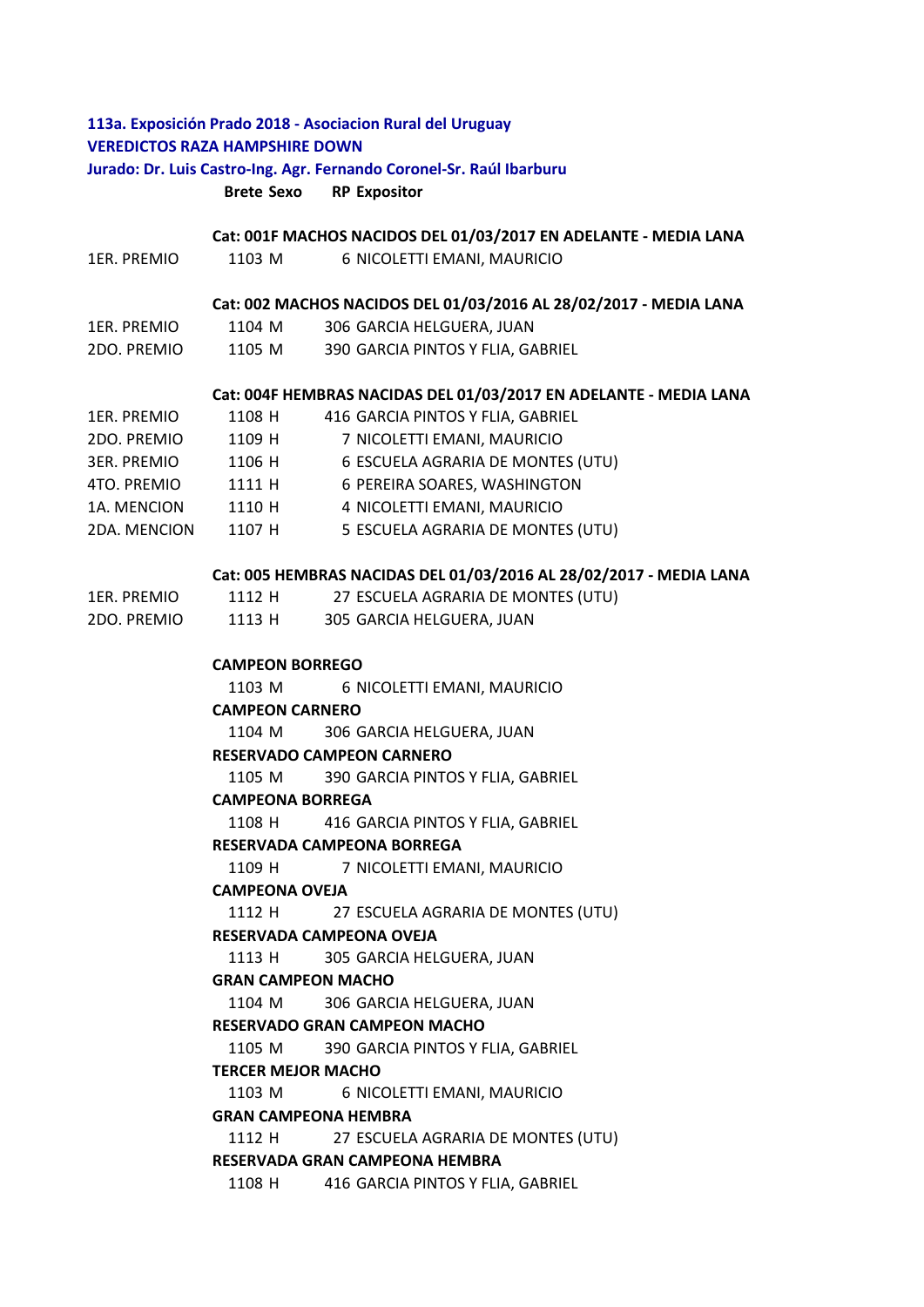# **113a. Exposición Prado 2018 - Asociacion Rural del Uruguay VEREDICTOS RAZA HAMPSHIRE DOWN Jurado: Dr. Luis Castro-Ing. Agr. Fernando Coronel-Sr. Raúl Ibarburu**

# **Brete Sexo RP Expositor**

#### **Cat: 001F MACHOS NACIDOS DEL 01/03/2017 EN ADELANTE - MEDIA LANA**

| 1ER. PREMIO | 1103 M | 6 NICOLETTI EMANI, MAURICIO |
|-------------|--------|-----------------------------|
|-------------|--------|-----------------------------|

#### **Cat: 002 MACHOS NACIDOS DEL 01/03/2016 AL 28/02/2017 - MEDIA LANA**

- 1ER. PREMIO 1104 M 306 GARCIA HELGUERA, JUAN
- 2DO. PREMIO 1105 M 390 GARCIA PINTOS Y FLIA, GABRIEL

#### **Cat: 004F HEMBRAS NACIDAS DEL 01/03/2017 EN ADELANTE - MEDIA LANA**

| 1ER. PREMIO        | 1108 H | 416 GARCIA PINTOS Y FLIA, GABRIEL |
|--------------------|--------|-----------------------------------|
| 2DO. PREMIO        | 1109 H | 7 NICOLETTI EMANI, MAURICIO       |
| <b>3ER. PREMIO</b> | 1106 H | 6 ESCUELA AGRARIA DE MONTES (UTU) |
| 4TO. PREMIO        | 1111 H | 6 PEREIRA SOARES, WASHINGTON      |
| 1A. MENCION        | 1110 H | 4 NICOLETTI EMANI, MAURICIO       |
| 2DA. MENCION       | 1107 H | 5 ESCUELA AGRARIA DE MONTES (UTU) |

#### **Cat: 005 HEMBRAS NACIDAS DEL 01/03/2016 AL 28/02/2017 - MEDIA LANA**

| 1ER. PREMIO | 1112 H | 27 ESCUELA AGRARIA DE MONTES (UTU) |
|-------------|--------|------------------------------------|
| 2DO. PREMIO | 1113 H | 305 GARCIA HELGUERA, JUAN          |

### **CAMPEON BORREGO**

1103 M 6 NICOLETTI EMANI, MAURICIO

## **CAMPEON CARNERO**

1104 M 306 GARCIA HELGUERA, JUAN

## **RESERVADO CAMPEON CARNERO**

1105 M 390 GARCIA PINTOS Y FLIA, GABRIEL

#### **CAMPEONA BORREGA**

1108 H 416 GARCIA PINTOS Y FLIA, GABRIEL

#### **RESERVADA CAMPEONA BORREGA**

1109 H 7 NICOLETTI EMANI, MAURICIO

## **CAMPEONA OVEJA**

1112 H 27 ESCUELA AGRARIA DE MONTES (UTU)

#### **RESERVADA CAMPEONA OVEJA**

1113 H 305 GARCIA HELGUERA, JUAN

### **GRAN CAMPEON MACHO**

1104 M 306 GARCIA HELGUERA, JUAN

#### **RESERVADO GRAN CAMPEON MACHO**

1105 M 390 GARCIA PINTOS Y FLIA, GABRIEL

#### **TERCER MEJOR MACHO**

1103 M 6 NICOLETTI EMANI, MAURICIO

## **GRAN CAMPEONA HEMBRA**

1112 H 27 ESCUELA AGRARIA DE MONTES (UTU)

### **RESERVADA GRAN CAMPEONA HEMBRA**

1108 H 416 GARCIA PINTOS Y FLIA, GABRIEL